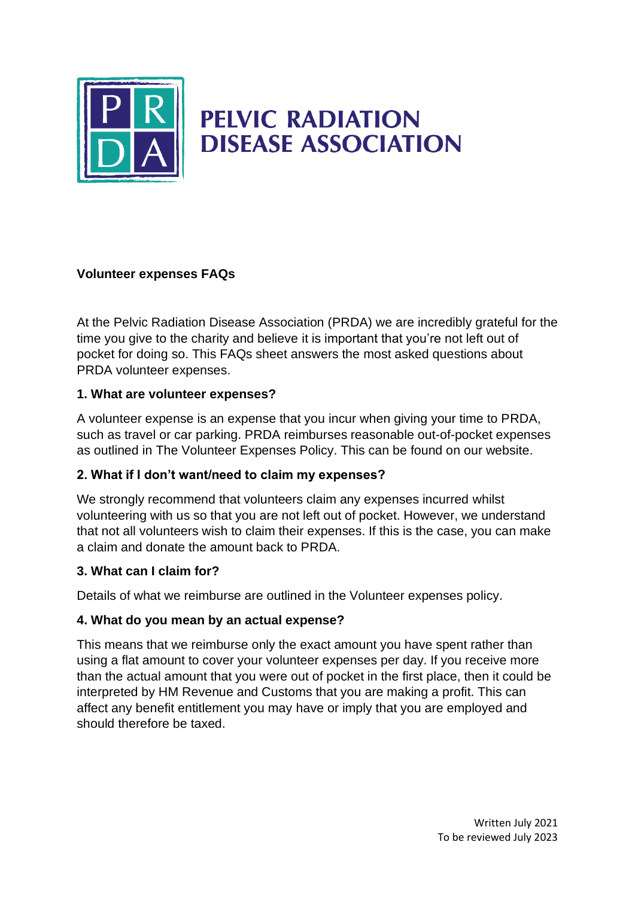

# **PELVIC RADIATION DISEASE ASSOCIATION**

## **Volunteer expenses FAQs**

At the Pelvic Radiation Disease Association (PRDA) we are incredibly grateful for the time you give to the charity and believe it is important that you're not left out of pocket for doing so. This FAQs sheet answers the most asked questions about PRDA volunteer expenses.

#### **1. What are volunteer expenses?**

A volunteer expense is an expense that you incur when giving your time to PRDA, such as travel or car parking. PRDA reimburses reasonable out-of-pocket expenses as outlined in The Volunteer Expenses Policy. This can be found on our website.

#### **2. What if I don't want/need to claim my expenses?**

We strongly recommend that volunteers claim any expenses incurred whilst volunteering with us so that you are not left out of pocket. However, we understand that not all volunteers wish to claim their expenses. If this is the case, you can make a claim and donate the amount back to PRDA.

#### **3. What can I claim for?**

Details of what we reimburse are outlined in the Volunteer expenses policy.

#### **4. What do you mean by an actual expense?**

This means that we reimburse only the exact amount you have spent rather than using a flat amount to cover your volunteer expenses per day. If you receive more than the actual amount that you were out of pocket in the first place, then it could be interpreted by HM Revenue and Customs that you are making a profit. This can affect any benefit entitlement you may have or imply that you are employed and should therefore be taxed.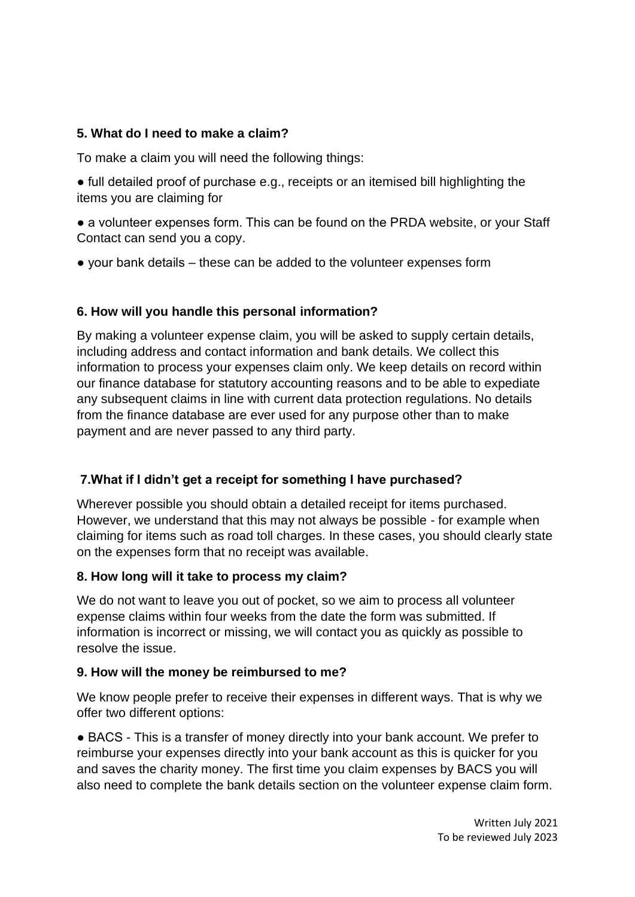## **5. What do I need to make a claim?**

To make a claim you will need the following things:

● full detailed proof of purchase e.g., receipts or an itemised bill highlighting the items you are claiming for

• a volunteer expenses form. This can be found on the PRDA website, or your Staff Contact can send you a copy.

● your bank details – these can be added to the volunteer expenses form

#### **6. How will you handle this personal information?**

By making a volunteer expense claim, you will be asked to supply certain details, including address and contact information and bank details. We collect this information to process your expenses claim only. We keep details on record within our finance database for statutory accounting reasons and to be able to expediate any subsequent claims in line with current data protection regulations. No details from the finance database are ever used for any purpose other than to make payment and are never passed to any third party.

# **7.What if I didn't get a receipt for something I have purchased?**

Wherever possible you should obtain a detailed receipt for items purchased. However, we understand that this may not always be possible - for example when claiming for items such as road toll charges. In these cases, you should clearly state on the expenses form that no receipt was available.

#### **8. How long will it take to process my claim?**

We do not want to leave you out of pocket, so we aim to process all volunteer expense claims within four weeks from the date the form was submitted. If information is incorrect or missing, we will contact you as quickly as possible to resolve the issue.

#### **9. How will the money be reimbursed to me?**

We know people prefer to receive their expenses in different ways. That is why we offer two different options:

● BACS - This is a transfer of money directly into your bank account. We prefer to reimburse your expenses directly into your bank account as this is quicker for you and saves the charity money. The first time you claim expenses by BACS you will also need to complete the bank details section on the volunteer expense claim form.